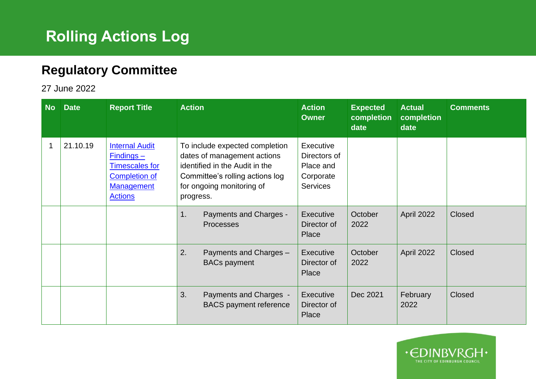## **Rolling Actions Log**

## **Regulatory Committee**

27 June 2022

| <b>No</b> | <b>Date</b> | <b>Report Title</b>                                                                                                          | <b>Action</b> |                                                                                                                                                                 | <b>Action</b><br><b>Owner</b>                                          | <b>Expected</b><br>completion<br>date | <b>Actual</b><br>completion<br>date | <b>Comments</b> |
|-----------|-------------|------------------------------------------------------------------------------------------------------------------------------|---------------|-----------------------------------------------------------------------------------------------------------------------------------------------------------------|------------------------------------------------------------------------|---------------------------------------|-------------------------------------|-----------------|
|           | 21.10.19    | <b>Internal Audit</b><br>$Finding -$<br><b>Timescales for</b><br><b>Completion of</b><br><b>Management</b><br><b>Actions</b> | progress.     | To include expected completion<br>dates of management actions<br>identified in the Audit in the<br>Committee's rolling actions log<br>for ongoing monitoring of | Executive<br>Directors of<br>Place and<br>Corporate<br><b>Services</b> |                                       |                                     |                 |
|           |             |                                                                                                                              | 1.            | Payments and Charges -<br>Processes                                                                                                                             | Executive<br>Director of<br>Place                                      | October<br>2022                       | April 2022                          | Closed          |
|           |             |                                                                                                                              | 2.            | Payments and Charges -<br><b>BACs payment</b>                                                                                                                   | Executive<br>Director of<br>Place                                      | October<br>2022                       | April 2022                          | Closed          |
|           |             |                                                                                                                              | 3.            | Payments and Charges -<br><b>BACS</b> payment reference                                                                                                         | Executive<br>Director of<br>Place                                      | Dec 2021                              | February<br>2022                    | Closed          |

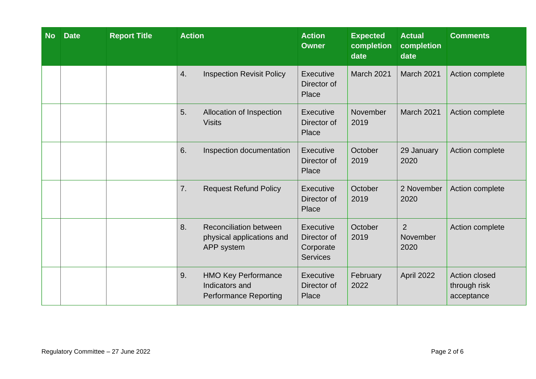| <b>No</b> | <b>Date</b> | <b>Report Title</b> | <b>Action</b> |                                                                              | <b>Action</b><br><b>Owner</b>                                   | <b>Expected</b><br>completion<br>date | <b>Actual</b><br>completion<br>date | <b>Comments</b>                             |
|-----------|-------------|---------------------|---------------|------------------------------------------------------------------------------|-----------------------------------------------------------------|---------------------------------------|-------------------------------------|---------------------------------------------|
|           |             |                     | 4.            | <b>Inspection Revisit Policy</b>                                             | <b>Executive</b><br>Director of<br>Place                        | March 2021                            | March 2021                          | Action complete                             |
|           |             |                     | 5.            | Allocation of Inspection<br><b>Visits</b>                                    | <b>Executive</b><br>Director of<br>Place                        | November<br>2019                      | March 2021                          | Action complete                             |
|           |             |                     | 6.            | Inspection documentation                                                     | <b>Executive</b><br>Director of<br>Place                        | October<br>2019                       | 29 January<br>2020                  | Action complete                             |
|           |             |                     | 7.            | <b>Request Refund Policy</b>                                                 | <b>Executive</b><br>Director of<br>Place                        | October<br>2019                       | 2 November<br>2020                  | Action complete                             |
|           |             |                     | 8.            | <b>Reconciliation between</b><br>physical applications and<br>APP system     | <b>Executive</b><br>Director of<br>Corporate<br><b>Services</b> | October<br>2019                       | $\overline{2}$<br>November<br>2020  | Action complete                             |
|           |             |                     | 9.            | <b>HMO Key Performance</b><br>Indicators and<br><b>Performance Reporting</b> | <b>Executive</b><br>Director of<br>Place                        | February<br>2022                      | April 2022                          | Action closed<br>through risk<br>acceptance |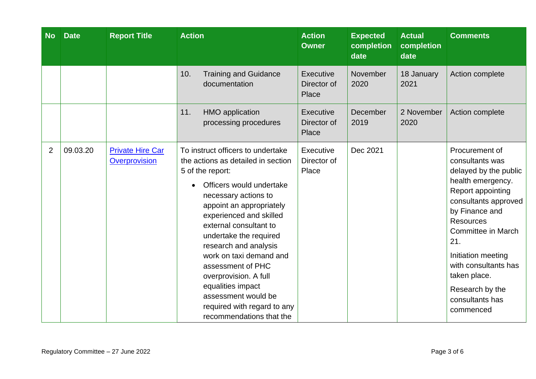| <b>No</b>      | <b>Date</b> | <b>Report Title</b>                      | <b>Action</b>                                                                                                                                                                                                                                                                                                                                                                                                                                                       | <b>Action</b><br><b>Owner</b>            | <b>Expected</b><br>completion<br>date | <b>Actual</b><br>completion<br>date | <b>Comments</b>                                                                                                                                                                                                                                                                                                         |
|----------------|-------------|------------------------------------------|---------------------------------------------------------------------------------------------------------------------------------------------------------------------------------------------------------------------------------------------------------------------------------------------------------------------------------------------------------------------------------------------------------------------------------------------------------------------|------------------------------------------|---------------------------------------|-------------------------------------|-------------------------------------------------------------------------------------------------------------------------------------------------------------------------------------------------------------------------------------------------------------------------------------------------------------------------|
|                |             |                                          | 10.<br><b>Training and Guidance</b><br>documentation                                                                                                                                                                                                                                                                                                                                                                                                                | Executive<br>Director of<br>Place        | November<br>2020                      | 18 January<br>2021                  | Action complete                                                                                                                                                                                                                                                                                                         |
|                |             |                                          | <b>HMO</b> application<br>11.<br>processing procedures                                                                                                                                                                                                                                                                                                                                                                                                              | <b>Executive</b><br>Director of<br>Place | December<br>2019                      | 2 November<br>2020                  | Action complete                                                                                                                                                                                                                                                                                                         |
| $\overline{2}$ | 09.03.20    | <b>Private Hire Car</b><br>Overprovision | To instruct officers to undertake<br>the actions as detailed in section<br>5 of the report:<br>Officers would undertake<br>necessary actions to<br>appoint an appropriately<br>experienced and skilled<br>external consultant to<br>undertake the required<br>research and analysis<br>work on taxi demand and<br>assessment of PHC<br>overprovision. A full<br>equalities impact<br>assessment would be<br>required with regard to any<br>recommendations that the | Executive<br>Director of<br>Place        | Dec 2021                              |                                     | Procurement of<br>consultants was<br>delayed by the public<br>health emergency.<br>Report appointing<br>consultants approved<br>by Finance and<br><b>Resources</b><br><b>Committee in March</b><br>21.<br>Initiation meeting<br>with consultants has<br>taken place.<br>Research by the<br>consultants has<br>commenced |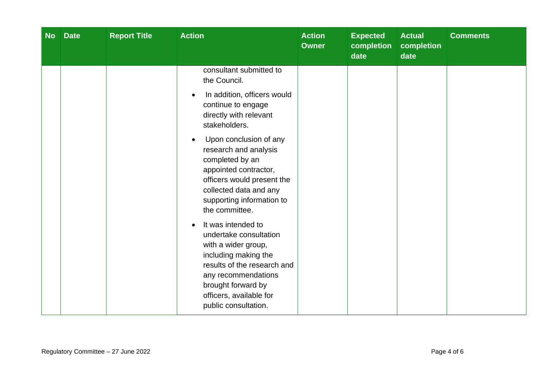| <b>No</b> | <b>Date</b> | <b>Report Title</b> | <b>Action</b>                                                                                                                                                                                                                                                                                                                                                                                                                                                                                                                                                                                                      | <b>Action</b><br><b>Owner</b> | <b>Expected</b><br>completion<br>date | <b>Actual</b><br>completion<br>date | <b>Comments</b> |
|-----------|-------------|---------------------|--------------------------------------------------------------------------------------------------------------------------------------------------------------------------------------------------------------------------------------------------------------------------------------------------------------------------------------------------------------------------------------------------------------------------------------------------------------------------------------------------------------------------------------------------------------------------------------------------------------------|-------------------------------|---------------------------------------|-------------------------------------|-----------------|
|           |             |                     | consultant submitted to<br>the Council.<br>In addition, officers would<br>$\bullet$<br>continue to engage<br>directly with relevant<br>stakeholders.<br>Upon conclusion of any<br>$\bullet$<br>research and analysis<br>completed by an<br>appointed contractor,<br>officers would present the<br>collected data and any<br>supporting information to<br>the committee.<br>It was intended to<br>$\bullet$<br>undertake consultation<br>with a wider group,<br>including making the<br>results of the research and<br>any recommendations<br>brought forward by<br>officers, available for<br>public consultation. |                               |                                       |                                     |                 |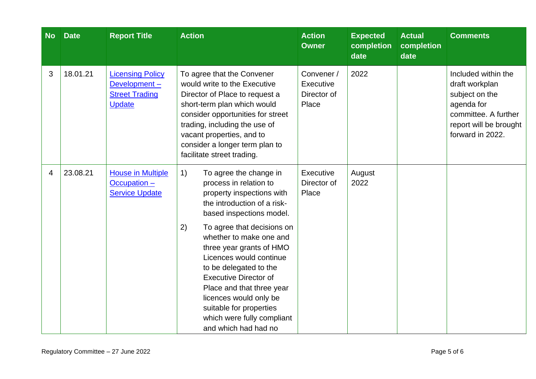| <b>No</b> | <b>Date</b> | <b>Report Title</b>                                                               | <b>Action</b>                                                                                                                                                                                                                                                                                                        | <b>Action</b><br><b>Owner</b>                   | <b>Expected</b><br>completion<br>date | <b>Actual</b><br>completion<br>date | <b>Comments</b>                                                                                                                             |
|-----------|-------------|-----------------------------------------------------------------------------------|----------------------------------------------------------------------------------------------------------------------------------------------------------------------------------------------------------------------------------------------------------------------------------------------------------------------|-------------------------------------------------|---------------------------------------|-------------------------------------|---------------------------------------------------------------------------------------------------------------------------------------------|
| 3         | 18.01.21    | <b>Licensing Policy</b><br>Development-<br><b>Street Trading</b><br><b>Update</b> | To agree that the Convener<br>would write to the Executive<br>Director of Place to request a<br>short-term plan which would<br>consider opportunities for street<br>trading, including the use of<br>vacant properties, and to<br>consider a longer term plan to<br>facilitate street trading.                       | Convener /<br>Executive<br>Director of<br>Place | 2022                                  |                                     | Included within the<br>draft workplan<br>subject on the<br>agenda for<br>committee. A further<br>report will be brought<br>forward in 2022. |
| 4         | 23.08.21    | <b>House in Multiple</b><br>$Occulation -$<br><b>Service Update</b>               | 1)<br>To agree the change in<br>process in relation to<br>property inspections with<br>the introduction of a risk-<br>based inspections model.                                                                                                                                                                       | Executive<br>Director of<br>Place               | August<br>2022                        |                                     |                                                                                                                                             |
|           |             |                                                                                   | 2)<br>To agree that decisions on<br>whether to make one and<br>three year grants of HMO<br>Licences would continue<br>to be delegated to the<br><b>Executive Director of</b><br>Place and that three year<br>licences would only be<br>suitable for properties<br>which were fully compliant<br>and which had had no |                                                 |                                       |                                     |                                                                                                                                             |